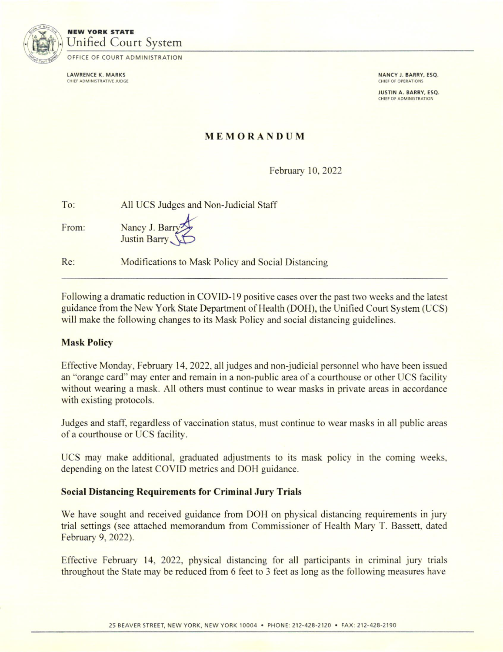

NEW YORK STATE Unified Court Svstem

OFFICE OF COURT ADMINISTRATION

LAWRENCE K. MARKS CHIEF ADMINISTRATIVE JUDGE NANCY J. BARRY, ESQ.

JUSTIN A. BARRY, ESO. CHIEF OF ADMINISTRATION

## MEMORANDUM

February 10,2022

| To:   | All UCS Judges and Non-Judicial Staff                     |
|-------|-----------------------------------------------------------|
| From: | Nancy J. Barry                                            |
| Re:   | <b>Modifications to Mask Policy and Social Distancing</b> |

Following a dramatic reduction in COVID-19 positive cases over the past two weeks and the latest guidance from the New York State Department of Health (DOH), the Unified Court System (UCS) will make the following changes to its Mask Policy and social distancing guidelines.

## Mask Policy

Effective Monday, February 14,2022, all judges and non-judicial personnel who have been issued an "orange card" may enter and remain in a non-public area of a courthouse or other UCS facility without wearing a mask. All others must continue to wear masks in private areas in accordance with existing protocols.

Judges and staff, regardless of vaccination status, must continue to wear masks in all public areas of a courthouse or UCS facility.

UCS may make additional, graduated adjustments to its mask policy in the coming weeks, depending on the latest COVID metrics and DOH guidance.

## Social Distancing Requirements for Criminal Jury Trials

We have sought and received guidance from DOH on physical distancing requirements in jury trial settings (see attached memorandum from Commissioner of Health Mary T. Bassett, dated February 9, 2022).

Effective February 14. 2022. physical distancing for all participants in criminal jury trials throughout the State may be reduced from 6 feet to 3 feet as long as the following measures have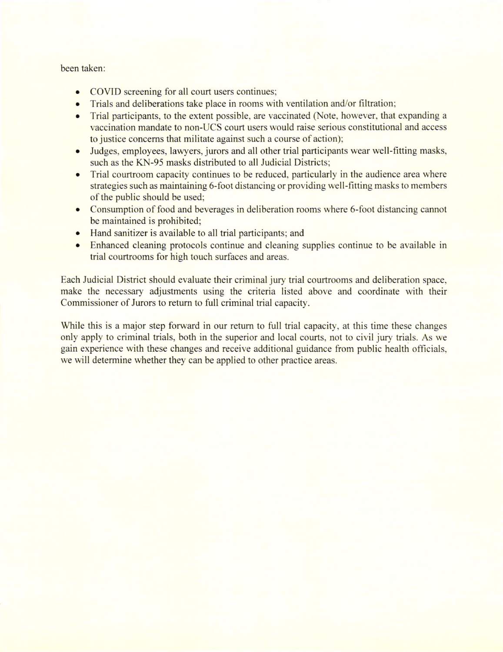been taken:

- $\bullet$  COVID screening for all court users continues;
- Trials and deliberations take place in rooms with ventilation and/or filtration;
- Trial participants, to the extent possible, are vaccinated (Note, however, that expanding a vaccination mandate to non-UCS court users would raise serious constitutional and access to justice concems that militate against such a course of action);
- o Judges, employees, lawyers, jurors and all other trial participants wear well-fitting masks, such as the KN-95 masks distributed to all Judicial Districts;
- Trial courtroom capacity continues to be reduced, particularly in the audience area where strategies such as maintaining 6-foot distancing or providing well-fitting masks to members of the public should be used;
- Consumption of food and beverages in deliberation rooms where 6-foot distancing cannot be maintained is prohibited;
- . Hand sanitizer is available to all trial participants; and
- Enhanced cleaning protocols continue and cleaning supplies continue to be available in trial courtrooms for high touch surfaces and areas.

Each Judicial District should evaluate their criminal jury trial courtrooms and deliberation space, make the necessary adjustments using the criteria listed above and coordinate with their Commissioner of Jurors to return to full criminal trial capacity.

While this is a major step forward in our return to full trial capacity, at this time these changes only apply to criminal trials, both in the superior and local courts, not to civil jury trials. As we gain experience with these changes and receive additional guidance from public health officials. we will determine whether they can be applied to other practice areas.